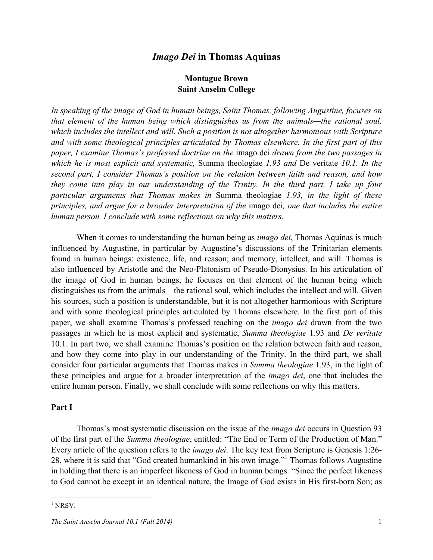## *Imago Dei* **in Thomas Aquinas**

## **Montague Brown Saint Anselm College**

*In speaking of the image of God in human beings, Saint Thomas, following Augustine, focuses on that element of the human being which distinguishes us from the animals—the rational soul, which includes the intellect and will. Such a position is not altogether harmonious with Scripture and with some theological principles articulated by Thomas elsewhere. In the first part of this paper, I examine Thomas's professed doctrine on the* imago dei *drawn from the two passages in which he is most explicit and systematic,* Summa theologiae *1.93 and* De veritate *10.1. In the second part, I consider Thomas's position on the relation between faith and reason, and how they come into play in our understanding of the Trinity. In the third part, I take up four particular arguments that Thomas makes in* Summa theologiae *1.93, in the light of these principles, and argue for a broader interpretation of the* imago dei*, one that includes the entire human person. I conclude with some reflections on why this matters.*

When it comes to understanding the human being as *imago dei*, Thomas Aquinas is much influenced by Augustine, in particular by Augustine's discussions of the Trinitarian elements found in human beings: existence, life, and reason; and memory, intellect, and will. Thomas is also influenced by Aristotle and the Neo-Platonism of Pseudo-Dionysius. In his articulation of the image of God in human beings, he focuses on that element of the human being which distinguishes us from the animals—the rational soul, which includes the intellect and will. Given his sources, such a position is understandable, but it is not altogether harmonious with Scripture and with some theological principles articulated by Thomas elsewhere. In the first part of this paper, we shall examine Thomas's professed teaching on the *imago dei* drawn from the two passages in which he is most explicit and systematic, *Summa theologiae* 1.93 and *De veritate* 10.1. In part two, we shall examine Thomas's position on the relation between faith and reason, and how they come into play in our understanding of the Trinity. In the third part, we shall consider four particular arguments that Thomas makes in *Summa theologiae* 1.93, in the light of these principles and argue for a broader interpretation of the *imago dei*, one that includes the entire human person. Finally, we shall conclude with some reflections on why this matters.

### **Part I**

Thomas's most systematic discussion on the issue of the *imago dei* occurs in Question 93 of the first part of the *Summa theologiae*, entitled: "The End or Term of the Production of Man." Every article of the question refers to the *imago dei*. The key text from Scripture is Genesis 1:26- 28, where it is said that "God created humankind in his own image."1 Thomas follows Augustine in holding that there is an imperfect likeness of God in human beings. "Since the perfect likeness to God cannot be except in an identical nature, the Image of God exists in His first-born Son; as

 $1$  NRSV.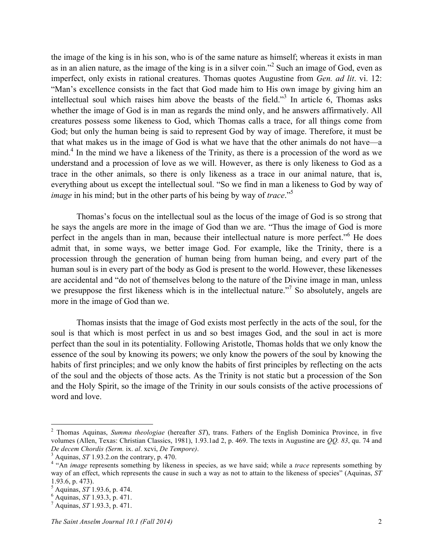the image of the king is in his son, who is of the same nature as himself; whereas it exists in man as in an alien nature, as the image of the king is in a silver coin."<sup>2</sup> Such an image of God, even as imperfect, only exists in rational creatures. Thomas quotes Augustine from *Gen. ad lit*. vi. 12: "Man's excellence consists in the fact that God made him to His own image by giving him an intellectual soul which raises him above the beasts of the field."<sup>3</sup> In article 6, Thomas asks whether the image of God is in man as regards the mind only, and he answers affirmatively. All creatures possess some likeness to God, which Thomas calls a trace, for all things come from God; but only the human being is said to represent God by way of image. Therefore, it must be that what makes us in the image of God is what we have that the other animals do not have—a mind.<sup>4</sup> In the mind we have a likeness of the Trinity, as there is a procession of the word as we understand and a procession of love as we will. However, as there is only likeness to God as a trace in the other animals, so there is only likeness as a trace in our animal nature, that is, everything about us except the intellectual soul. "So we find in man a likeness to God by way of *image* in his mind; but in the other parts of his being by way of *trace*."<sup>5</sup>

Thomas's focus on the intellectual soul as the locus of the image of God is so strong that he says the angels are more in the image of God than we are. "Thus the image of God is more perfect in the angels than in man, because their intellectual nature is more perfect."<sup>6</sup> He does admit that, in some ways, we better image God. For example, like the Trinity, there is a procession through the generation of human being from human being, and every part of the human soul is in every part of the body as God is present to the world. However, these likenesses are accidental and "do not of themselves belong to the nature of the Divine image in man, unless we presuppose the first likeness which is in the intellectual nature."<sup>7</sup> So absolutely, angels are more in the image of God than we.

Thomas insists that the image of God exists most perfectly in the acts of the soul, for the soul is that which is most perfect in us and so best images God, and the soul in act is more perfect than the soul in its potentiality. Following Aristotle, Thomas holds that we only know the essence of the soul by knowing its powers; we only know the powers of the soul by knowing the habits of first principles; and we only know the habits of first principles by reflecting on the acts of the soul and the objects of those acts. As the Trinity is not static but a procession of the Son and the Holy Spirit, so the image of the Trinity in our souls consists of the active processions of word and love.

 <sup>2</sup> Thomas Aquinas, *Summa theologiae* (hereafter *ST*), trans. Fathers of the English Dominica Province, in five volumes (Allen, Texas: Christian Classics, 1981), 1.93.1ad 2, p. 469. The texts in Augustine are *QQ. 83*, qu. 74 and De decem Chordis (Serm. ix. al. xcvi, De Tempore).<br><sup>3</sup> Aquinas, ST 1.93.2 on the contrary, p. 470.<br><sup>4</sup> "An *image* represents something by likeness in species, as we have said; while a *trace* represents something by

way of an effect, which represents the cause in such a way as not to attain to the likeness of species" (Aquinas, *ST* 1.93.6, p. 473). <sup>5</sup> Aquinas, *ST* 1.93.6, p. 474. <sup>6</sup> Aquinas, *ST* 1.93.3, p. 471. <sup>7</sup> Aquinas, *ST* 1.93.3, p. 471.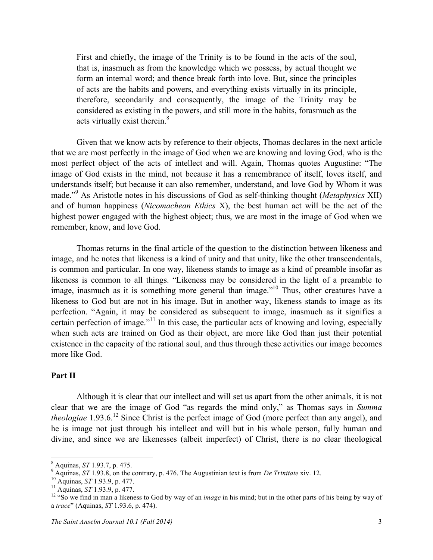First and chiefly, the image of the Trinity is to be found in the acts of the soul, that is, inasmuch as from the knowledge which we possess, by actual thought we form an internal word; and thence break forth into love. But, since the principles of acts are the habits and powers, and everything exists virtually in its principle, therefore, secondarily and consequently, the image of the Trinity may be considered as existing in the powers, and still more in the habits, forasmuch as the acts virtually exist therein.<sup>8</sup>

Given that we know acts by reference to their objects, Thomas declares in the next article that we are most perfectly in the image of God when we are knowing and loving God, who is the most perfect object of the acts of intellect and will. Again, Thomas quotes Augustine: "The image of God exists in the mind, not because it has a remembrance of itself, loves itself, and understands itself; but because it can also remember, understand, and love God by Whom it was made."<sup>9</sup> As Aristotle notes in his discussions of God as self-thinking thought (*Metaphysics* XII) and of human happiness (*Nicomachean Ethics* X), the best human act will be the act of the highest power engaged with the highest object; thus, we are most in the image of God when we remember, know, and love God.

Thomas returns in the final article of the question to the distinction between likeness and image, and he notes that likeness is a kind of unity and that unity, like the other transcendentals, is common and particular. In one way, likeness stands to image as a kind of preamble insofar as likeness is common to all things. "Likeness may be considered in the light of a preamble to image, inasmuch as it is something more general than image."<sup>10</sup> Thus, other creatures have a likeness to God but are not in his image. But in another way, likeness stands to image as its perfection. "Again, it may be considered as subsequent to image, inasmuch as it signifies a certain perfection of image."<sup>11</sup> In this case, the particular acts of knowing and loving, especially when such acts are trained on God as their object, are more like God than just their potential existence in the capacity of the rational soul, and thus through these activities our image becomes more like God.

# **Part II**

Although it is clear that our intellect and will set us apart from the other animals, it is not clear that we are the image of God "as regards the mind only," as Thomas says in *Summa theologiae* 1.93.6. <sup>12</sup> Since Christ is the perfect image of God (more perfect than any angel), and he is image not just through his intellect and will but in his whole person, fully human and divine, and since we are likenesses (albeit imperfect) of Christ, there is no clear theological

<sup>&</sup>lt;sup>8</sup> Aquinas, *ST* 1.93.7, p. 475.<br><sup>9</sup> Aquinas, *ST* 1.93.8, on the contrary, p. 476. The Augustinian text is from *De Trinitate* xiv. 12.<br><sup>10</sup> Aquinas, *ST* 1.93.9, p. 477.<br><sup>11</sup> Aquinas, *ST* 1.93.9, p. 477.<br><sup>12</sup> "So we f

a *trace*" (Aquinas, *ST* 1.93.6, p. 474).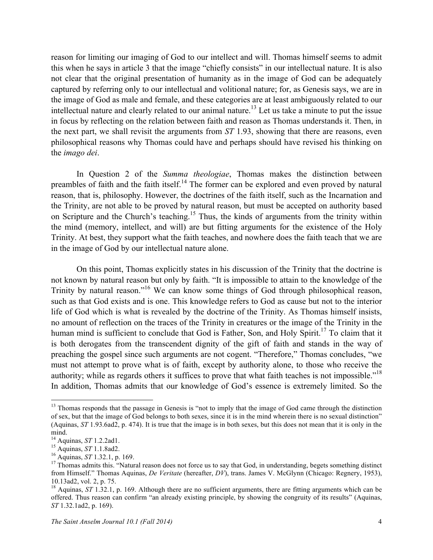reason for limiting our imaging of God to our intellect and will. Thomas himself seems to admit this when he says in article 3 that the image "chiefly consists" in our intellectual nature. It is also not clear that the original presentation of humanity as in the image of God can be adequately captured by referring only to our intellectual and volitional nature; for, as Genesis says, we are in the image of God as male and female, and these categories are at least ambiguously related to our intellectual nature and clearly related to our animal nature.<sup>13</sup> Let us take a minute to put the issue in focus by reflecting on the relation between faith and reason as Thomas understands it. Then, in the next part, we shall revisit the arguments from *ST* 1.93, showing that there are reasons, even philosophical reasons why Thomas could have and perhaps should have revised his thinking on the *imago dei*.

In Question 2 of the *Summa theologiae*, Thomas makes the distinction between preambles of faith and the faith itself.<sup>14</sup> The former can be explored and even proved by natural reason, that is, philosophy. However, the doctrines of the faith itself, such as the Incarnation and the Trinity, are not able to be proved by natural reason, but must be accepted on authority based on Scripture and the Church's teaching.<sup>15</sup> Thus, the kinds of arguments from the trinity within the mind (memory, intellect, and will) are but fitting arguments for the existence of the Holy Trinity. At best, they support what the faith teaches, and nowhere does the faith teach that we are in the image of God by our intellectual nature alone.

On this point, Thomas explicitly states in his discussion of the Trinity that the doctrine is not known by natural reason but only by faith. "It is impossible to attain to the knowledge of the Trinity by natural reason."<sup>16</sup> We can know some things of God through philosophical reason, such as that God exists and is one. This knowledge refers to God as cause but not to the interior life of God which is what is revealed by the doctrine of the Trinity. As Thomas himself insists, no amount of reflection on the traces of the Trinity in creatures or the image of the Trinity in the human mind is sufficient to conclude that God is Father, Son, and Holy Spirit.<sup>17</sup> To claim that it is both derogates from the transcendent dignity of the gift of faith and stands in the way of preaching the gospel since such arguments are not cogent. "Therefore," Thomas concludes, "we must not attempt to prove what is of faith, except by authority alone, to those who receive the authority; while as regards others it suffices to prove that what faith teaches is not impossible."<sup>18</sup> In addition, Thomas admits that our knowledge of God's essence is extremely limited. So the

<sup>&</sup>lt;sup>13</sup> Thomas responds that the passage in Genesis is "not to imply that the image of God came through the distinction of sex, but that the image of God belongs to both sexes, since it is in the mind wherein there is no sexual distinction" (Aquinas, *ST* 1.93.6ad2, p. 474). It is true that the image is in both sexes, but this does not mean that it is only in the mind.<br> $^{14}$  Aquinas, ST 1.2.2ad1.

<sup>15</sup> Aquinas, *ST* 1.1.8ad2.<br><sup>16</sup> Aquinas, *ST* 1.32.1, p. 169.<br><sup>17</sup> Thomas admits this. "Natural reason does not force us to say that God, in understanding, begets something distinct from Himself." Thomas Aquinas, *De Veritate* (hereafter, *DV*), trans. James V. McGlynn (Chicago: Regnery, 1953), 10.13ad2, vol. 2, p. 75. <sup>18</sup> Aquinas, *ST* 1.32.1, p. 169. Although there are no sufficient arguments, there are fitting arguments which can be

offered. Thus reason can confirm "an already existing principle, by showing the congruity of its results" (Aquinas, *ST* 1.32.1ad2, p. 169).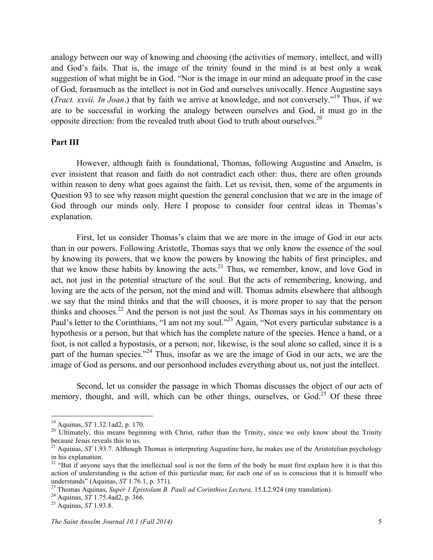analogy between our way of knowing and choosing (the activities of memory, intellect, and will) and God's fails. That is, the image of the trinity found in the mind is at best only a weak suggestion of what might be in God. "Nor is the image in our mind an adequate proof in the case of God, forasmuch as the intellect is not in God and ourselves univocally. Hence Augustine says (*Tract. xxvii. In Joan*.) that by faith we arrive at knowledge, and not conversely."19 Thus, if we are to be successful in working the analogy between ourselves and God, it must go in the opposite direction: from the revealed truth about God to truth about ourselves.<sup>20</sup>

## **Part III**

However, although faith is foundational, Thomas, following Augustine and Anselm, is ever insistent that reason and faith do not contradict each other: thus, there are often grounds within reason to deny what goes against the faith. Let us revisit, then, some of the arguments in Question 93 to see why reason might question the general conclusion that we are in the image of God through our minds only. Here I propose to consider four central ideas in Thomas's explanation.

First, let us consider Thomas's claim that we are more in the image of God in our acts than in our powers. Following Aristotle, Thomas says that we only know the essence of the soul by knowing its powers, that we know the powers by knowing the habits of first principles, and that we know these habits by knowing the acts.<sup>21</sup> Thus, we remember, know, and love God in act, not just in the potential structure of the soul. But the acts of remembering, knowing, and loving are the acts of the person, not the mind and will. Thomas admits elsewhere that although we say that the mind thinks and that the will chooses, it is more proper to say that the person thinks and chooses.<sup>22</sup> And the person is not just the soul. As Thomas says in his commentary on Paul's letter to the Corinthians, "I am not my soul."<sup>23</sup> Again, "Not every particular substance is a hypothesis or a person, but that which has the complete nature of the species. Hence a hand, or a foot, is not called a hypostasis, or a person; nor, likewise, is the soul alone so called, since it is a part of the human species."<sup>24</sup> Thus, insofar as we are the image of God in our acts, we are the image of God as persons, and our personhood includes everything about us, not just the intellect.

Second, let us consider the passage in which Thomas discusses the object of our acts of memory, thought, and will, which can be other things, ourselves, or God.<sup>25</sup> Of these three

<sup>&</sup>lt;sup>19</sup> Aquinas, *ST* 1.32.1ad2, p. 170.<br><sup>20</sup> Ultimately, this means beginning with Christ, rather than the Trinity, since we only know about the Trinity because Jesus reveals this to us.

<sup>&</sup>lt;sup>21</sup> Aquinas, *ST* 1.93.7. Although Thomas is interpreting Augustine here, he makes use of the Aristotelian psychology in his explanation.

<sup>&</sup>lt;sup>22</sup> "But if anyone says that the intellectual soul is not the form of the body he must first explain how it is that this action of understanding is the action of this particular man; for each one of us is conscious that it is himself who understands" (Aquinas, *ST* 1.76.1, p. 371).<br><sup>23</sup> Thomas Aquinas, *Super 1 Epistolam B. Pauli ad Corinthios Lectura*, 15.L2.924 (my translation).<br><sup>24</sup> Aquinas, *ST* 1.75.4ad2, p. 366.<br><sup>25</sup> Aquinas, *ST* 1.93.8.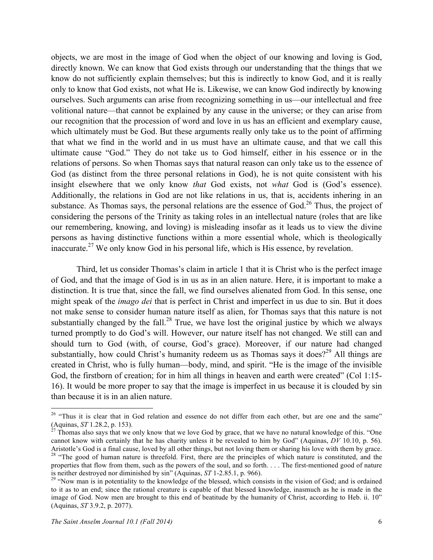objects, we are most in the image of God when the object of our knowing and loving is God, directly known. We can know that God exists through our understanding that the things that we know do not sufficiently explain themselves; but this is indirectly to know God, and it is really only to know that God exists, not what He is. Likewise, we can know God indirectly by knowing ourselves. Such arguments can arise from recognizing something in us—our intellectual and free volitional nature—that cannot be explained by any cause in the universe; or they can arise from our recognition that the procession of word and love in us has an efficient and exemplary cause, which ultimately must be God. But these arguments really only take us to the point of affirming that what we find in the world and in us must have an ultimate cause, and that we call this ultimate cause "God." They do not take us to God himself, either in his essence or in the relations of persons. So when Thomas says that natural reason can only take us to the essence of God (as distinct from the three personal relations in God), he is not quite consistent with his insight elsewhere that we only know *that* God exists, not *what* God is (God's essence). Additionally, the relations in God are not like relations in us, that is, accidents inhering in an substance. As Thomas says, the personal relations are the essence of God.<sup>26</sup> Thus, the project of considering the persons of the Trinity as taking roles in an intellectual nature (roles that are like our remembering, knowing, and loving) is misleading insofar as it leads us to view the divine persons as having distinctive functions within a more essential whole, which is theologically inaccurate.<sup>27</sup> We only know God in his personal life, which is His essence, by revelation.

Third, let us consider Thomas's claim in article 1 that it is Christ who is the perfect image of God, and that the image of God is in us as in an alien nature. Here, it is important to make a distinction. It is true that, since the fall, we find ourselves alienated from God. In this sense, one might speak of the *imago dei* that is perfect in Christ and imperfect in us due to sin. But it does not make sense to consider human nature itself as alien, for Thomas says that this nature is not substantially changed by the fall.<sup>28</sup> True, we have lost the original justice by which we always turned promptly to do God's will. However, our nature itself has not changed. We still can and should turn to God (with, of course, God's grace). Moreover, if our nature had changed substantially, how could Christ's humanity redeem us as Thomas says it does?<sup>29</sup> All things are created in Christ, who is fully human—body, mind, and spirit. "He is the image of the invisible God, the firstborn of creation; for in him all things in heaven and earth were created" (Col 1:15-16). It would be more proper to say that the image is imperfect in us because it is clouded by sin than because it is in an alien nature.

<sup>&</sup>lt;sup>26</sup> "Thus it is clear that in God relation and essence do not differ from each other, but are one and the same"<br>(Aquinas, ST 1.28.2, p. 153).<br><sup>27</sup> Thomas also says that we only know that we love God by grace, that we hav

Thomas also says that we only know that we love God by grace, that we have no natural knowledge of this. "One cannot know with certainly that he has charity unless it be revealed to him by God" (Aquinas, *DV* 10.10, p. 56).<br>Aristotle's God is a final cause, loved by all other things, but not loving them or sharing his love with th <sup>28</sup> "The good of human nature is threefold. First, there are the principles of which nature is constituted, and the properties that flow from them, such as the powers of the soul, and so forth. . . . The first-mentioned good of nature is neither destroyed nor diminished by  $\sin$ " (Aquinas,  $ST$  1-2.85.1, p. 966).

<sup>&</sup>lt;sup>29</sup> "Now man is in potentiality to the knowledge of the blessed, which consists in the vision of God; and is ordained to it as to an end; since the rational creature is capable of that blessed knowledge, inasmuch as he is made in the image of God. Now men are brought to this end of beatitude by the humanity of Christ, according to Heb. ii. 10" (Aquinas, *ST* 3.9.2, p. 2077).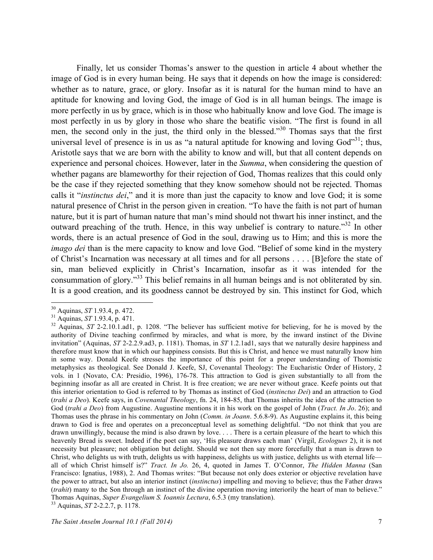Finally, let us consider Thomas's answer to the question in article 4 about whether the image of God is in every human being. He says that it depends on how the image is considered: whether as to nature, grace, or glory. Insofar as it is natural for the human mind to have an aptitude for knowing and loving God, the image of God is in all human beings. The image is more perfectly in us by grace, which is in those who habitually know and love God. The image is most perfectly in us by glory in those who share the beatific vision. "The first is found in all men, the second only in the just, the third only in the blessed."<sup>30</sup> Thomas says that the first universal level of presence is in us as "a natural aptitude for knowing and loving  $God^{\prime 31}$ ; thus, Aristotle says that we are born with the ability to know and will, but that all content depends on experience and personal choices. However, later in the *Summa*, when considering the question of whether pagans are blameworthy for their rejection of God, Thomas realizes that this could only be the case if they rejected something that they know somehow should not be rejected. Thomas calls it "*instinctus dei*," and it is more than just the capacity to know and love God; it is some natural presence of Christ in the person given in creation. "To have the faith is not part of human nature, but it is part of human nature that man's mind should not thwart his inner instinct, and the outward preaching of the truth. Hence, in this way unbelief is contrary to nature."<sup>32</sup> In other words, there is an actual presence of God in the soul, drawing us to Him; and this is more the *imago dei* than is the mere capacity to know and love God. "Belief of some kind in the mystery of Christ's Incarnation was necessary at all times and for all persons . . . . [B]efore the state of sin, man believed explicitly in Christ's Incarnation, insofar as it was intended for the consummation of glory."<sup>33</sup> This belief remains in all human beings and is not obliterated by sin. It is a good creation, and its goodness cannot be destroyed by sin. This instinct for God, which

<sup>&</sup>lt;sup>30</sup> Aquinas, *ST* 1.93.4, p. 472.<br><sup>31</sup> Aquinas, *ST* 1.93.4, p. 471.<br><sup>32</sup> Aquinas, *ST* 2-2.10.1.ad1, p. 1208. "The believer has sufficient motive for believing, for he is moved by the authority of Divine teaching confirmed by miracles, and what is more, by the inward instinct of the Divine invitation" (Aquinas, *ST* 2-2.2.9.ad3, p. 1181). Thomas, in *ST* 1.2.1ad1, says that we naturally desire happiness and therefore must know that in which our happiness consists. But this is Christ, and hence we must naturally know him in some way. Donald Keefe stresses the importance of this point for a proper understanding of Thomistic metaphysics as theological. See Donald J. Keefe, SJ, Covenantal Theology: The Eucharistic Order of History, 2 vols. in 1 (Novato, CA: Presidio, 1996), 176-78. This attraction to God is given substantially to all from the beginning insofar as all are created in Christ. It is free creation; we are never without grace. Keefe points out that this interior orientation to God is referred to by Thomas as instinct of God (*instinctus Dei*) and an attraction to God (*trahi a Deo*). Keefe says, in *Covenantal Theology*, fn. 24, 184-85, that Thomas inherits the idea of the attraction to God (*trahi a Deo*) from Augustine. Augustine mentions it in his work on the gospel of John (*Tract. In Jo*. 26); and Thomas uses the phrase in his commentary on John (*Comm. in Joann*. 5.6.8-9). As Augustine explains it, this being drawn to God is free and operates on a preconceptual level as something delightful. "Do not think that you are drawn unwillingly, because the mind is also drawn by love. . . . There is a certain pleasure of the heart to which this heavenly Bread is sweet. Indeed if the poet can say, 'His pleasure draws each man' (Virgil, *Ecologues* 2), it is not necessity but pleasure; not obligation but delight. Should we not then say more forcefully that a man is drawn to Christ, who delights us with truth, delights us with happiness, delights us with justice, delights us with eternal life all of which Christ himself is?" *Tract. In Jo.* 26, 4, quoted in James T. O'Connor, *The Hidden Manna* (San Francisco: Ignatius, 1988), 2. And Thomas writes: "But because not only does exterior or objective revelation have the power to attract, but also an interior instinct (*instinctus*) impelling and moving to believe; thus the Father draws (*trahit*) many to the Son through an instinct of the divine operation moving interiorily the heart of man to believe." Thomas Aquinas, *Super Evangelium S. Ioannis Lectura*, 6.5.3 (my translation). <sup>33</sup> Aquinas, *ST* 2-2.2.7, p. 1178.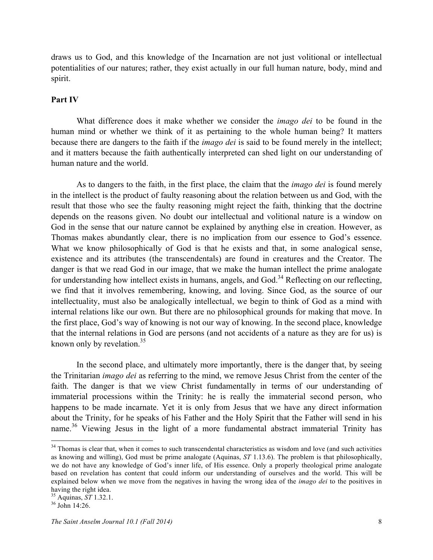draws us to God, and this knowledge of the Incarnation are not just volitional or intellectual potentialities of our natures; rather, they exist actually in our full human nature, body, mind and spirit.

### **Part IV**

What difference does it make whether we consider the *imago dei* to be found in the human mind or whether we think of it as pertaining to the whole human being? It matters because there are dangers to the faith if the *imago dei* is said to be found merely in the intellect; and it matters because the faith authentically interpreted can shed light on our understanding of human nature and the world.

As to dangers to the faith, in the first place, the claim that the *imago dei* is found merely in the intellect is the product of faulty reasoning about the relation between us and God, with the result that those who see the faulty reasoning might reject the faith, thinking that the doctrine depends on the reasons given. No doubt our intellectual and volitional nature is a window on God in the sense that our nature cannot be explained by anything else in creation. However, as Thomas makes abundantly clear, there is no implication from our essence to God's essence. What we know philosophically of God is that he exists and that, in some analogical sense, existence and its attributes (the transcendentals) are found in creatures and the Creator. The danger is that we read God in our image, that we make the human intellect the prime analogate for understanding how intellect exists in humans, angels, and God.<sup>34</sup> Reflecting on our reflecting, we find that it involves remembering, knowing, and loving. Since God, as the source of our intellectuality, must also be analogically intellectual, we begin to think of God as a mind with internal relations like our own. But there are no philosophical grounds for making that move. In the first place, God's way of knowing is not our way of knowing. In the second place, knowledge that the internal relations in God are persons (and not accidents of a nature as they are for us) is known only by revelation. $35$ 

In the second place, and ultimately more importantly, there is the danger that, by seeing the Trinitarian *imago dei* as referring to the mind, we remove Jesus Christ from the center of the faith. The danger is that we view Christ fundamentally in terms of our understanding of immaterial processions within the Trinity: he is really the immaterial second person, who happens to be made incarnate. Yet it is only from Jesus that we have any direct information about the Trinity, for he speaks of his Father and the Holy Spirit that the Father will send in his name.<sup>36</sup> Viewing Jesus in the light of a more fundamental abstract immaterial Trinity has

 $34$  Thomas is clear that, when it comes to such transcendental characteristics as wisdom and love (and such activities as knowing and willing), God must be prime analogate (Aquinas, *ST* 1.13.6). The problem is that philosophically, we do not have any knowledge of God's inner life, of His essence. Only a properly theological prime analogate based on revelation has content that could inform our understanding of ourselves and the world. This will be explained below when we move from the negatives in having the wrong idea of the *imago dei* to the positives in having the right idea.<br><sup>35</sup> Aquinas, *ST* 1.32.1.<br><sup>36</sup> John 14:26.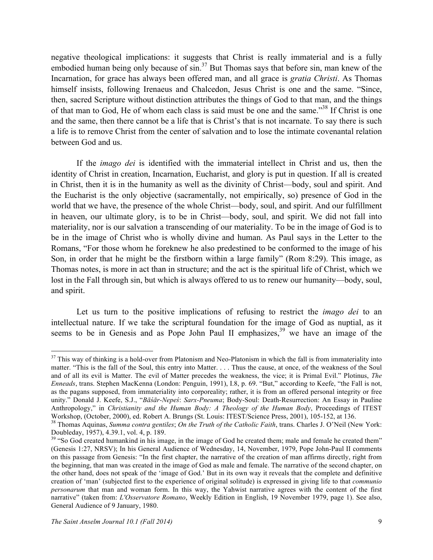negative theological implications: it suggests that Christ is really immaterial and is a fully embodied human being only because of  $\sin^{37}$  But Thomas says that before sin, man knew of the Incarnation, for grace has always been offered man, and all grace is *gratia Christi*. As Thomas himself insists, following Irenaeus and Chalcedon, Jesus Christ is one and the same. "Since, then, sacred Scripture without distinction attributes the things of God to that man, and the things of that man to God, He of whom each class is said must be one and the same."<sup>38</sup> If Christ is one and the same, then there cannot be a life that is Christ's that is not incarnate. To say there is such a life is to remove Christ from the center of salvation and to lose the intimate covenantal relation between God and us.

If the *imago dei* is identified with the immaterial intellect in Christ and us, then the identity of Christ in creation, Incarnation, Eucharist, and glory is put in question. If all is created in Christ, then it is in the humanity as well as the divinity of Christ—body, soul and spirit. And the Eucharist is the only objective (sacramentally, not empirically, so) presence of God in the world that we have, the presence of the whole Christ—body, soul, and spirit. And our fulfillment in heaven, our ultimate glory, is to be in Christ—body, soul, and spirit. We did not fall into materiality, nor is our salvation a transcending of our materiality. To be in the image of God is to be in the image of Christ who is wholly divine and human. As Paul says in the Letter to the Romans, "For those whom he foreknew he also predestined to be conformed to the image of his Son, in order that he might be the firstborn within a large family" (Rom 8:29). This image, as Thomas notes, is more in act than in structure; and the act is the spiritual life of Christ, which we lost in the Fall through sin, but which is always offered to us to renew our humanity—body, soul, and spirit.

Let us turn to the positive implications of refusing to restrict the *imago dei* to an intellectual nature. If we take the scriptural foundation for the image of God as nuptial, as it seems to be in Genesis and as Pope John Paul II emphasizes,<sup>39</sup> we have an image of the

 $37$  This way of thinking is a hold-over from Platonism and Neo-Platonism in which the fall is from immateriality into matter. "This is the fall of the Soul, this entry into Matter. . . . Thus the cause, at once, of the weakness of the Soul and of all its evil is Matter. The evil of Matter precedes the weakness, the vice; it is Primal Evil." Plotinus, *The Enneads*, trans. Stephen MacKenna (London: Penguin, 1991), I.8, p. 69. "But," according to Keefe, "the Fall is not, as the pagans supposed, from immateriality into corporeality; rather, it is from an offered personal integrity or free unity." Donald J. Keefe, S.J., "*Bāśār-Nepeś*: *Sarx-Pneuma*; Body-Soul: Death-Resurrection: An Essay in Pauline Anthropology," in *Christianity and the Human Body: A Theology of the Human Body*, Proceedings of ITEST

Workshop, (October, 2000), ed. Robert A. Brungs (St. Louis: ITEST/Science Press, 2001), 105-152, at 136.<br><sup>38</sup> Thomas Aquinas, *Summa contra gentiles; On the Truth of the Catholic Faith*, trans. Charles J. O'Neil (New York:

<sup>&</sup>lt;sup>39</sup> "So God created humankind in his image, in the image of God he created them; male and female he created them" (Genesis 1:27, NRSV); In his General Audience of Wednesday, 14, November, 1979, Pope John-Paul II comments on this passage from Genesis: "In the first chapter, the narrative of the creation of man affirms directly, right from the beginning, that man was created in the image of God as male and female. The narrative of the second chapter, on the other hand, does not speak of the 'image of God.' But in its own way it reveals that the complete and definitive creation of 'man' (subjected first to the experience of original solitude) is expressed in giving life to that *communio personarum* that man and woman form. In this way, the Yahwist narrative agrees with the content of the first narrative" (taken from: *L'Osservatore Romano*, Weekly Edition in English, 19 November 1979, page 1). See also, General Audience of 9 January, 1980.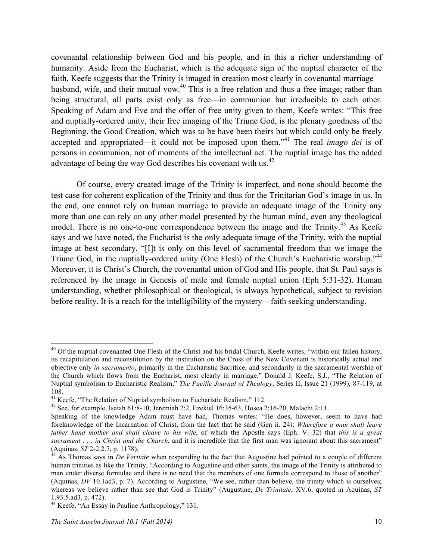covenantal relationship between God and his people, and in this a richer understanding of humanity. Aside from the Eucharist, which is the adequate sign of the nuptial character of the faith, Keefe suggests that the Trinity is imaged in creation most clearly in covenantal marriage husband, wife, and their mutual vow.<sup>40</sup> This is a free relation and thus a free image; rather than being structural, all parts exist only as free—in communion but irreducible to each other. Speaking of Adam and Eve and the offer of free unity given to them, Keefe writes: "This free and nuptially-ordered unity, their free imaging of the Triune God, is the plenary goodness of the Beginning, the Good Creation, which was to be have been theirs but which could only be freely accepted and appropriated—it could not be imposed upon them."<sup>41</sup> The real *imago dei* is of persons in communion, not of moments of the intellectual act. The nuptial image has the added advantage of being the way God describes his covenant with us.<sup>42</sup>

Of course, every created image of the Trinity is imperfect, and none should become the test case for coherent explication of the Trinity and thus for the Trinitarian God's image in us. In the end, one cannot rely on human marriage to provide an adequate image of the Trinity any more than one can rely on any other model presented by the human mind, even any theological model. There is no one-to-one correspondence between the image and the Trinity.<sup>43</sup> As Keefe says and we have noted, the Eucharist is the only adequate image of the Trinity, with the nuptial image at best secondary. "[I]t is only on this level of sacramental freedom that we image the Triune God, in the nuptially-ordered unity (One Flesh) of the Church's Eucharistic worship."<sup>44</sup> Moreover, it is Christ's Church, the covenantal union of God and His people, that St. Paul says is referenced by the image in Genesis of male and female nuptial union (Eph 5:31-32). Human understanding, whether philosophical or theological, is always hypothetical, subject to revision before reality. It is a reach for the intelligibility of the mystery—faith seeking understanding.

 $40$  Of the nuptial covenanted One Flesh of the Christ and his bridal Church, Keefe writes, "within our fallen history, its recapitulation and reconstitution by the institution on the Cross of the New Covenant is historically actual and objective only *in sacramento*, primarily in the Eucharistic Sacrifice, and secondarily in the sacramental worship of the Church which flows from the Eucharist, most clearly in marriage." Donald J. Keefe, S.J., "The Relation of Nuptial symbolism to Eucharistic Realism," *The Pacific Journal of Theology*, Series II, Issue 21 (1999), 87-119, at 108.<br><sup>41</sup> Keefe, "The Relation of Nuptial symbolism to Eucharistic Realism," 112.

<sup>&</sup>lt;sup>42</sup> See, for example, Isaiah 61:8-10, Jeremiah 2:2, Ezekiel 16:35-63, Hosea 2:16-20, Malachi 2:11.

Speaking of the knowledge Adam must have had, Thomas writes: "He does, however, seem to have had foreknowledge of the Incarnation of Christ, from the fact that he said (Gen ii. 24): *Wherefore a man shall leave father hand mother and shall cleave to his wife*, of which the Apostle says (Eph. V. 32) that *this is a great sacrament . . . in Christ and the Church*, and it is incredible that the first man was ignorant about this sacrament"<br>(Aquinas, *ST* 2-2.2.7, p. 1178).

As Thomas says in *De Veritate* when responding to the fact that Augustine had pointed to a couple of different human trinities as like the Trinity, "According to Augustine and other saints, the image of the Trinity is attributed to man under diverse formulae and there is no need that the members of one formula correspond to those of another" (Aquinas, *DV* 10.1ad3, p. 7). According to Augustine, "We see, rather than believe, the trinity which is ourselves; whereas we believe rather than see that God is Trinity" (Augustine, *De Trinitate*, XV.6, quoted in Aquinas, *ST* 1.93.5.ad3, p. 472).

<sup>44</sup> Keefe, "An Essay in Pauline Anthropology," 131.